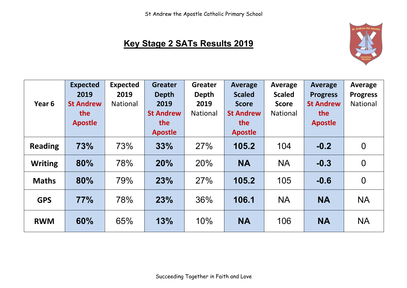

## **Key Stage 2 SATs Results 2019**

| Year 6         | <b>Expected</b><br>2019<br><b>St Andrew</b> | <b>Expected</b><br>2019<br><b>National</b> | <b>Greater</b><br><b>Depth</b><br>2019    | <b>Greater</b><br>Depth<br>2019 | <b>Average</b><br><b>Scaled</b><br><b>Score</b> | Average<br><b>Scaled</b><br><b>Score</b> | <b>Average</b><br><b>Progress</b><br><b>St Andrew</b> | <b>Average</b><br><b>Progress</b><br><b>National</b> |
|----------------|---------------------------------------------|--------------------------------------------|-------------------------------------------|---------------------------------|-------------------------------------------------|------------------------------------------|-------------------------------------------------------|------------------------------------------------------|
|                | the<br><b>Apostle</b>                       |                                            | <b>St Andrew</b><br>the<br><b>Apostle</b> | <b>National</b>                 | <b>St Andrew</b><br>the<br><b>Apostle</b>       | <b>National</b>                          | the<br><b>Apostle</b>                                 |                                                      |
| <b>Reading</b> | 73%                                         | 73%                                        | 33%                                       | 27%                             | 105.2                                           | 104                                      | $-0.2$                                                | $\boldsymbol{0}$                                     |
| <b>Writing</b> | 80%                                         | 78%                                        | 20%                                       | 20%                             | <b>NA</b>                                       | <b>NA</b>                                | $-0.3$                                                | $\overline{0}$                                       |
| <b>Maths</b>   | 80%                                         | 79%                                        | 23%                                       | 27%                             | 105.2                                           | 105                                      | $-0.6$                                                | $\overline{0}$                                       |
| <b>GPS</b>     | 77%                                         | 78%                                        | 23%                                       | 36%                             | 106.1                                           | <b>NA</b>                                | <b>NA</b>                                             | <b>NA</b>                                            |
| <b>RWM</b>     | 60%                                         | 65%                                        | 13%                                       | 10%                             | <b>NA</b>                                       | 106                                      | <b>NA</b>                                             | <b>NA</b>                                            |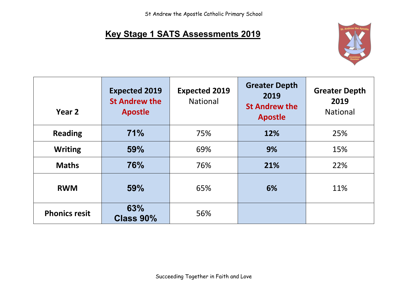## **Key Stage 1 SATS Assessments 2019**



| Year 2               | <b>Expected 2019</b><br><b>St Andrew the</b><br><b>Apostle</b> | <b>Expected 2019</b><br><b>National</b> | <b>Greater Depth</b><br>2019<br><b>St Andrew the</b><br><b>Apostle</b> | <b>Greater Depth</b><br>2019<br><b>National</b> |
|----------------------|----------------------------------------------------------------|-----------------------------------------|------------------------------------------------------------------------|-------------------------------------------------|
| <b>Reading</b>       | 71%                                                            | 75%                                     | 12%                                                                    | 25%                                             |
| <b>Writing</b>       | 59%                                                            | 69%                                     | 9%                                                                     | 15%                                             |
| <b>Maths</b>         | <b>76%</b>                                                     | 76%                                     | 21%                                                                    | 22%                                             |
| <b>RWM</b>           | 59%                                                            | 65%                                     | 6%                                                                     | 11%                                             |
| <b>Phonics resit</b> | 63%<br><b>Class 90%</b>                                        | 56%                                     |                                                                        |                                                 |